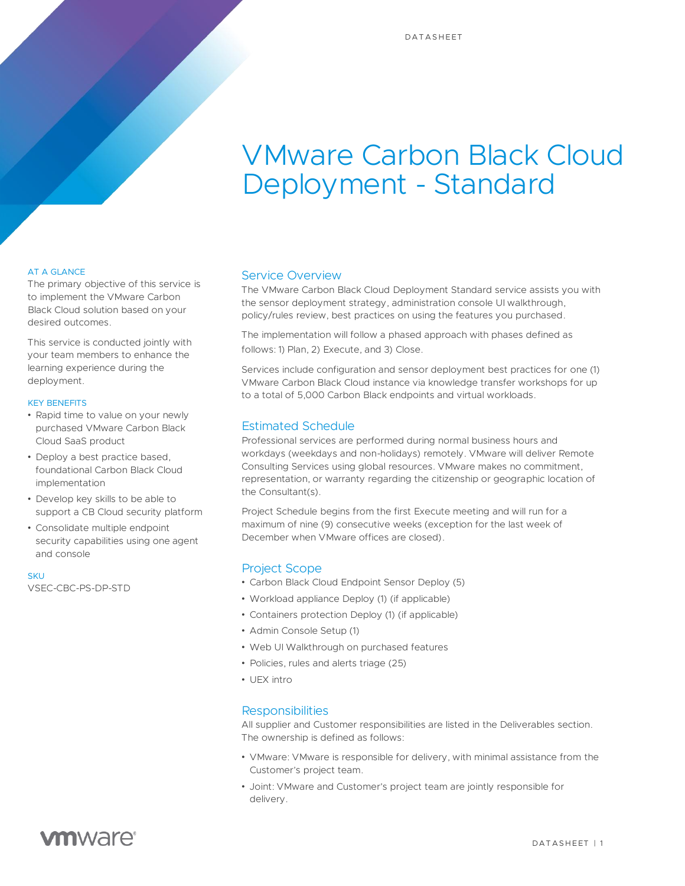# VMware Carbon Black Cloud Deployment - Standard

#### AT A GLANCE

The primary objective of this service is to implement the VMware Carbon Black Cloud solution based on your desired outcomes.

This service is conducted jointly with your team members to enhance the learning experience during the deployment.

#### KEY BENEFITS

- Rapid time to value on your newly purchased VMware Carbon Black Cloud SaaS product
- Deploy a best practice based, foundational Carbon Black Cloud implementation
- Develop key skills to be able to support a CB Cloud security platform
- Consolidate multiple endpoint security capabilities using one agent and console

#### **SKU**

VSEC-CBC-PS-DP-STD

#### Service Overview

The VMware Carbon Black Cloud Deployment Standard service assists you with the sensor deployment strategy, administration console UI walkthrough, policy/rules review, best practices on using the features you purchased.

The implementation will follow a phased approach with phases defined as follows: 1) Plan, 2) Execute, and 3) Close.

Services include configuration and sensor deployment best practices for one (1) VMware Carbon Black Cloud instance via knowledge transfer workshops for up to a total of 5,000 Carbon Black endpoints and virtual workloads.

#### Estimated Schedule

Professional services are performed during normal business hours and workdays (weekdays and non-holidays) remotely. VMware will deliver Remote Consulting Services using global resources. VMware makes no commitment, representation, or warranty regarding the citizenship or geographic location of the Consultant(s).

Project Schedule begins from the first Execute meeting and will run for a maximum of nine (9) consecutive weeks (exception for the last week of December when VMware offices are closed).

### Project Scope

- Carbon Black Cloud Endpoint Sensor Deploy (5)
- Workload appliance Deploy (1) (if applicable)
- Containers protection Deploy (1) (if applicable)
- Admin Console Setup (1)
- Web UI Walkthrough on purchased features
- Policies, rules and alerts triage (25)
- UEX intro

### **Responsibilities**

All supplier and Customer responsibilities are listed in the Deliverables section. The ownership is defined as follows:

- VMware: VMware is responsible for delivery, with minimal assistance from the Customer's project team.
- Joint: VMware and Customer's project team are jointly responsible for delivery.

# **vm**ware<sup>®</sup>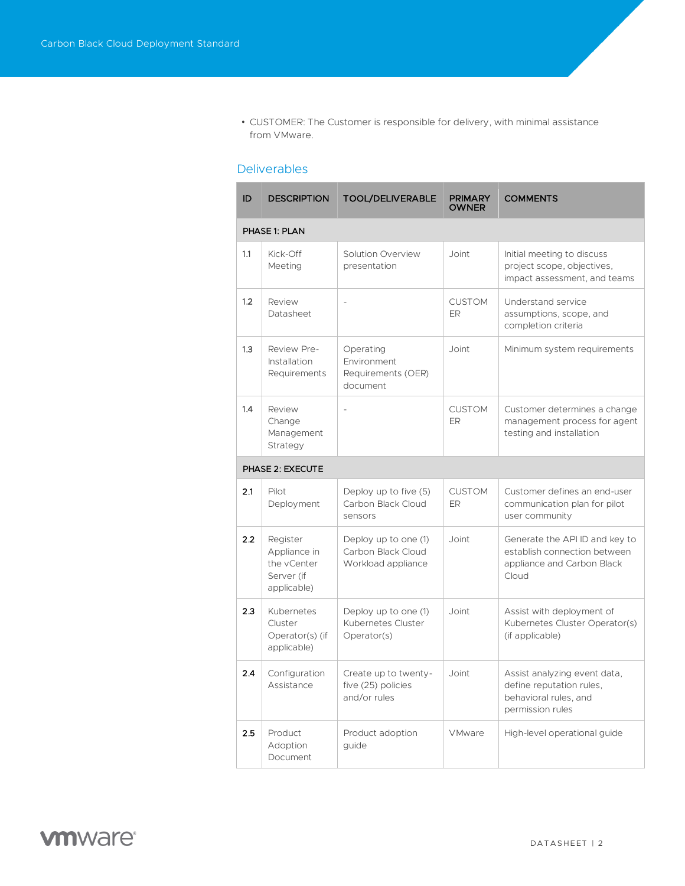• CUSTOMER: The Customer is responsible for delivery, with minimal assistance from VMware.

# **Deliverables**

| ID               | <b>DESCRIPTION</b>                                                   | <b>TOOL/DELIVERABLE</b>                                          | <b>PRIMARY</b><br>OWNER    | <b>COMMENTS</b>                                                                                       |  |  |
|------------------|----------------------------------------------------------------------|------------------------------------------------------------------|----------------------------|-------------------------------------------------------------------------------------------------------|--|--|
| PHASE 1: PLAN    |                                                                      |                                                                  |                            |                                                                                                       |  |  |
| 1.1              | Kick-Off<br>Meeting                                                  | Solution Overview<br>presentation                                | Joint                      | Initial meeting to discuss<br>project scope, objectives,<br>impact assessment, and teams              |  |  |
| 1.2              | Review<br>Datasheet                                                  |                                                                  | <b>CUSTOM</b><br>ER.       | Understand service<br>assumptions, scope, and<br>completion criteria                                  |  |  |
| 1.3              | Review Pre-<br>Installation<br>Requirements                          | Operating<br>Environment<br>Requirements (OER)<br>document       | Joint                      | Minimum system requirements                                                                           |  |  |
| 1.4              | Review<br>Change<br>Management<br>Strategy                           | $\overline{a}$                                                   | <b>CUSTOM</b><br><b>ER</b> | Customer determines a change<br>management process for agent<br>testing and installation              |  |  |
| PHASE 2: EXECUTE |                                                                      |                                                                  |                            |                                                                                                       |  |  |
| 2.1              | Pilot<br>Deployment                                                  | Deploy up to five (5)<br>Carbon Black Cloud<br>sensors           | <b>CUSTOM</b><br><b>ER</b> | Customer defines an end-user<br>communication plan for pilot<br>user community                        |  |  |
| 2.2              | Register<br>Appliance in<br>the vCenter<br>Server (if<br>applicable) | Deploy up to one (1)<br>Carbon Black Cloud<br>Workload appliance | Joint                      | Generate the API ID and key to<br>establish connection between<br>appliance and Carbon Black<br>Cloud |  |  |
| 2.3              | Kubernetes<br>Cluster<br>Operator(s) (if<br>applicable)              | Deploy up to one (1)<br>Kubernetes Cluster<br>Operator(s)        | Joint                      | Assist with deployment of<br>Kubernetes Cluster Operator(s)<br>(if applicable)                        |  |  |
| 2.4              | Configuration<br>Assistance                                          | Create up to twenty-<br>five (25) policies<br>and/or rules       | Joint                      | Assist analyzing event data,<br>define reputation rules.<br>behavioral rules, and<br>permission rules |  |  |
| 2.5              | Product<br>Adoption<br>Document                                      | Product adoption<br>guide                                        | <b>VMware</b>              | High-level operational guide                                                                          |  |  |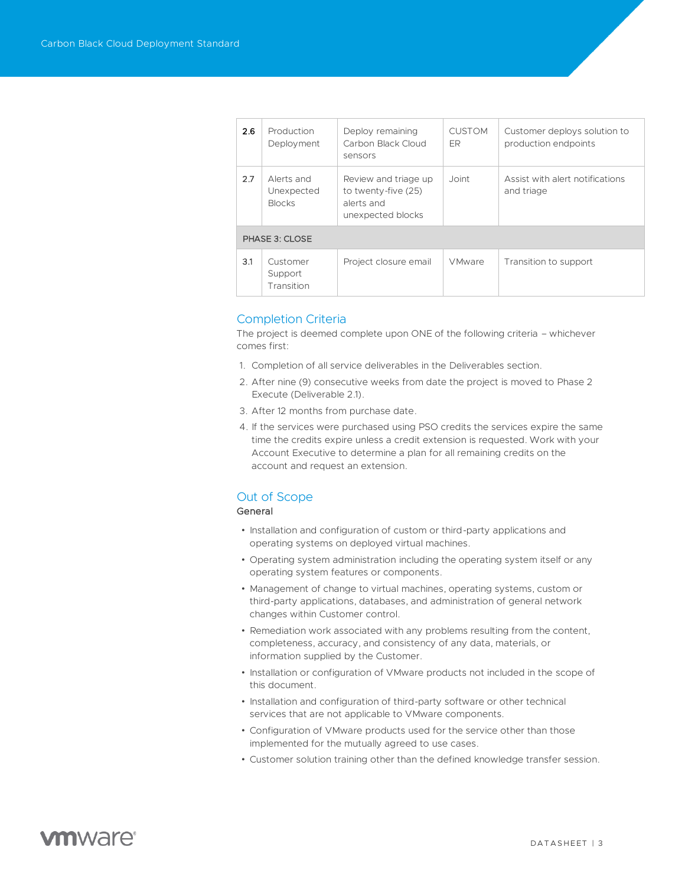| 2.6            | Production<br>Deployment                  | Deploy remaining<br>Carbon Black Cloud<br>sensors                              | <b>CUSTOM</b><br>ER | Customer deploys solution to<br>production endpoints |  |  |  |
|----------------|-------------------------------------------|--------------------------------------------------------------------------------|---------------------|------------------------------------------------------|--|--|--|
| 2.7            | Alerts and<br>Unexpected<br><b>Blocks</b> | Review and triage up<br>to twenty-five (25)<br>alerts and<br>unexpected blocks | Joint               | Assist with a lert notifications<br>and triage       |  |  |  |
| PHASE 3: CLOSE |                                           |                                                                                |                     |                                                      |  |  |  |
| 3.1            | Customer<br>Support<br>Transition         | Project closure email                                                          | <b>VMware</b>       | Transition to support                                |  |  |  |

#### Completion Criteria

The project is deemed complete upon ONE of the following criteria – whichever comes first:

- 1. Completion of all service deliverables in the Deliverables section.
- 2. After nine (9) consecutive weeks from date the project is moved to Phase 2 Execute (Deliverable 2.1).
- 3. After 12 months from purchase date.
- 4. If the services were purchased using PSO credits the services expire the same time the credits expire unless a credit extension is requested. Work with your Account Executive to determine a plan for all remaining credits on the account and request an extension.

## Out of Scope

#### General

- Installation and configuration of custom or third-party applications and operating systems on deployed virtual machines.
- Operating system administration including the operating system itself or any operating system features or components.
- Management of change to virtual machines, operating systems, custom or third-party applications, databases, and administration of general network changes within Customer control.
- Remediation work associated with any problems resulting from the content, completeness, accuracy, and consistency of any data, materials, or information supplied by the Customer.
- Installation or configuration of VMware products not included in the scope of this document.
- Installation and configuration of third-party software or other technical services that are not applicable to VMware components.
- Configuration of VMware products used for the service other than those implemented for the mutually agreed to use cases.
- Customer solution training other than the defined knowledge transfer session.

# **vm**ware<sup>®</sup>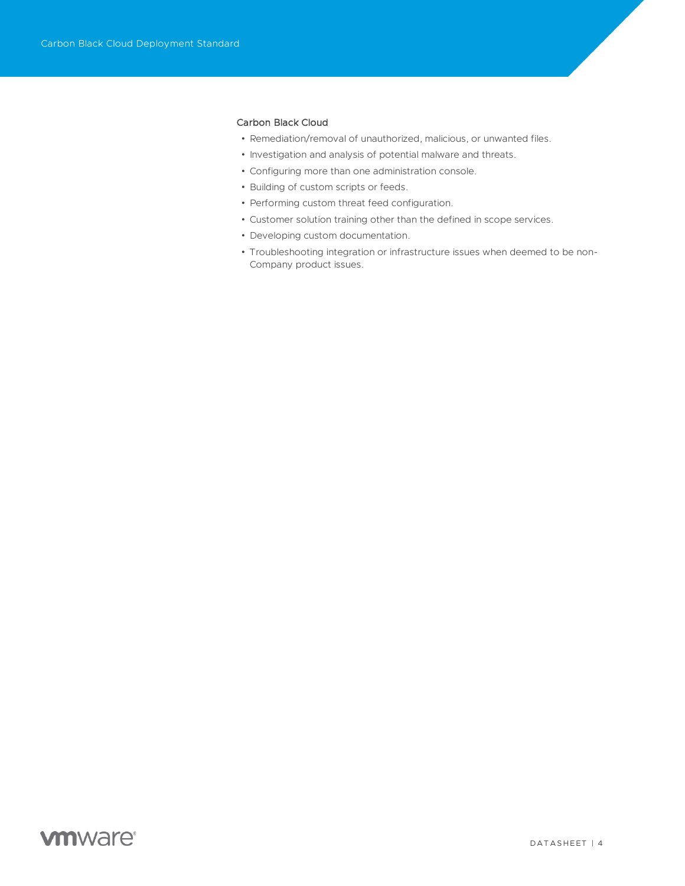#### Carbon Black Cloud

- Remediation/removal of unauthorized, malicious, or unwanted files.
- Investigation and analysis of potential malware and threats.
- Configuring more than one administration console.
- Building of custom scripts or feeds.
- Performing custom threat feed configuration.
- Customer solution training other than the defined in scope services.
- Developing custom documentation.
- Troubleshooting integration or infrastructure issues when deemed to be non-Company product issues.

# **vm**ware<sup>®</sup>